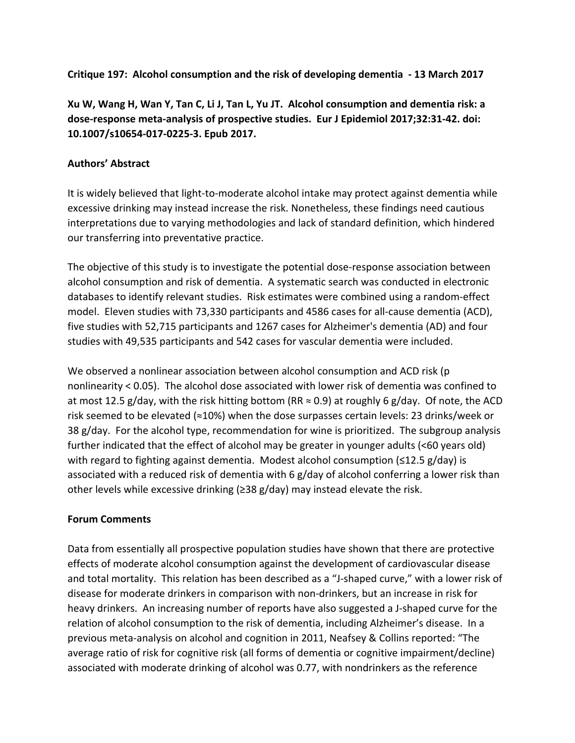**Critique 197: Alcohol consumption and the risk of developing dementia - 13 March 2017** 

**Xu W, Wang H, Wan Y, Tan C, Li J, Tan L, Yu JT. Alcohol consumption and dementia risk: a** dose-response meta-analysis of prospective studies. Eur J Epidemiol 2017;32:31-42. doi: **10.1007/s10654-017-0225-3. Epub 2017.**

#### **Authors' Abstract**

It is widely believed that light-to-moderate alcohol intake may protect against dementia while excessive drinking may instead increase the risk. Nonetheless, these findings need cautious interpretations due to varying methodologies and lack of standard definition, which hindered our transferring into preventative practice.

The objective of this study is to investigate the potential dose-response association between alcohol consumption and risk of dementia. A systematic search was conducted in electronic databases to identify relevant studies. Risk estimates were combined using a random-effect model. Eleven studies with 73,330 participants and 4586 cases for all-cause dementia (ACD), five studies with 52,715 participants and 1267 cases for Alzheimer's dementia (AD) and four studies with 49,535 participants and 542 cases for vascular dementia were included.

We observed a nonlinear association between alcohol consumption and ACD risk (p) nonlinearity < 0.05). The alcohol dose associated with lower risk of dementia was confined to at most 12.5 g/day, with the risk hitting bottom (RR  $\approx$  0.9) at roughly 6 g/day. Of note, the ACD risk seemed to be elevated  $($   $\approx$  10%) when the dose surpasses certain levels: 23 drinks/week or 38 g/day. For the alcohol type, recommendation for wine is prioritized. The subgroup analysis further indicated that the effect of alcohol may be greater in younger adults (<60 years old) with regard to fighting against dementia. Modest alcohol consumption  $(\leq 12.5 \text{ g/day})$  is associated with a reduced risk of dementia with 6  $g$ /day of alcohol conferring a lower risk than other levels while excessive drinking  $(≥38 g/day)$  may instead elevate the risk.

#### **Forum Comments**

Data from essentially all prospective population studies have shown that there are protective effects of moderate alcohol consumption against the development of cardiovascular disease and total mortality. This relation has been described as a "J-shaped curve," with a lower risk of disease for moderate drinkers in comparison with non-drinkers, but an increase in risk for heavy drinkers. An increasing number of reports have also suggested a J-shaped curve for the relation of alcohol consumption to the risk of dementia, including Alzheimer's disease. In a previous meta-analysis on alcohol and cognition in 2011, Neafsey & Collins reported: "The average ratio of risk for cognitive risk (all forms of dementia or cognitive impairment/decline) associated with moderate drinking of alcohol was 0.77, with nondrinkers as the reference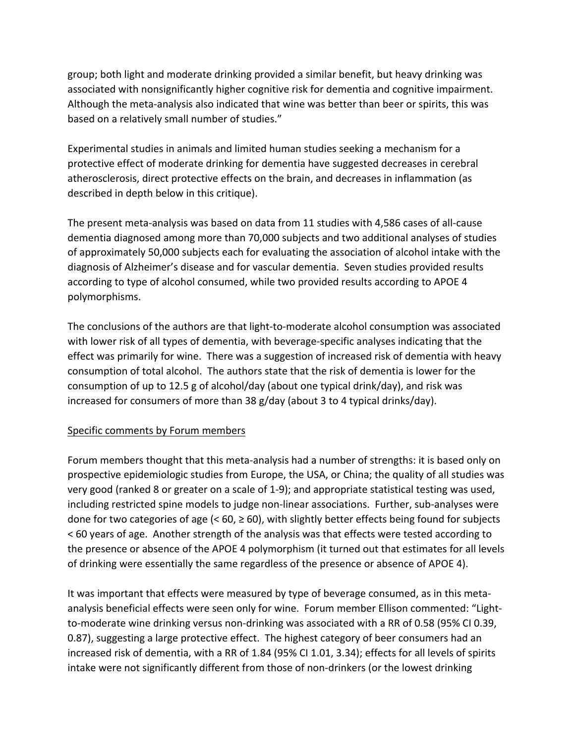group; both light and moderate drinking provided a similar benefit, but heavy drinking was associated with nonsignificantly higher cognitive risk for dementia and cognitive impairment. Although the meta-analysis also indicated that wine was better than beer or spirits, this was based on a relatively small number of studies."

Experimental studies in animals and limited human studies seeking a mechanism for a protective effect of moderate drinking for dementia have suggested decreases in cerebral atherosclerosis, direct protective effects on the brain, and decreases in inflammation (as described in depth below in this critique).

The present meta-analysis was based on data from 11 studies with 4,586 cases of all-cause dementia diagnosed among more than 70,000 subjects and two additional analyses of studies of approximately 50,000 subjects each for evaluating the association of alcohol intake with the diagnosis of Alzheimer's disease and for vascular dementia. Seven studies provided results according to type of alcohol consumed, while two provided results according to APOE 4 polymorphisms. 

The conclusions of the authors are that light-to-moderate alcohol consumption was associated with lower risk of all types of dementia, with beverage-specific analyses indicating that the effect was primarily for wine. There was a suggestion of increased risk of dementia with heavy consumption of total alcohol. The authors state that the risk of dementia is lower for the consumption of up to 12.5 g of alcohol/day (about one typical drink/day), and risk was increased for consumers of more than 38  $g$ /day (about 3 to 4 typical drinks/day).

## Specific comments by Forum members

Forum members thought that this meta-analysis had a number of strengths: it is based only on prospective epidemiologic studies from Europe, the USA, or China; the quality of all studies was very good (ranked 8 or greater on a scale of 1-9); and appropriate statistical testing was used, including restricted spine models to judge non-linear associations. Further, sub-analyses were done for two categories of age  $(< 60, \ge 60)$ , with slightly better effects being found for subjects  $\leq$  60 years of age. Another strength of the analysis was that effects were tested according to the presence or absence of the APOE 4 polymorphism (it turned out that estimates for all levels of drinking were essentially the same regardless of the presence or absence of APOE 4).

It was important that effects were measured by type of beverage consumed, as in this metaanalysis beneficial effects were seen only for wine. Forum member Ellison commented: "Lightto-moderate wine drinking versus non-drinking was associated with a RR of 0.58 (95% CI 0.39, 0.87), suggesting a large protective effect. The highest category of beer consumers had an increased risk of dementia, with a RR of 1.84 (95% CI 1.01, 3.34); effects for all levels of spirits intake were not significantly different from those of non-drinkers (or the lowest drinking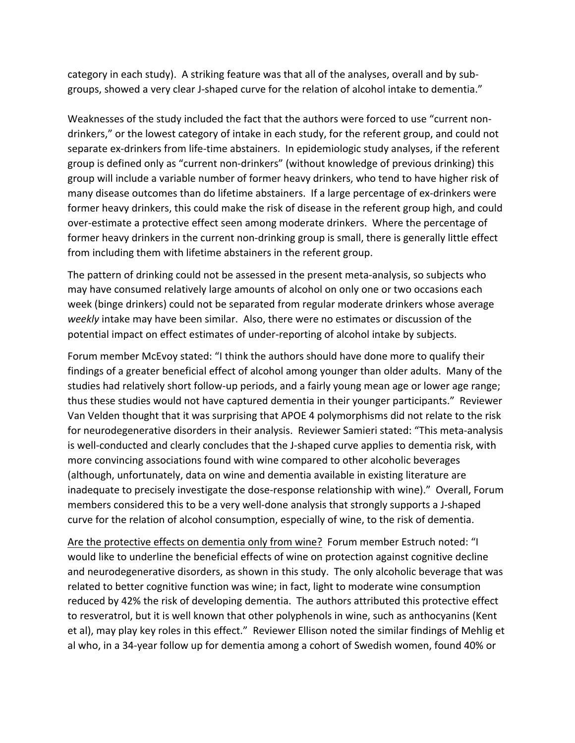category in each study). A striking feature was that all of the analyses, overall and by subgroups, showed a very clear J-shaped curve for the relation of alcohol intake to dementia."

Weaknesses of the study included the fact that the authors were forced to use "current nondrinkers," or the lowest category of intake in each study, for the referent group, and could not separate ex-drinkers from life-time abstainers. In epidemiologic study analyses, if the referent group is defined only as "current non-drinkers" (without knowledge of previous drinking) this group will include a variable number of former heavy drinkers, who tend to have higher risk of many disease outcomes than do lifetime abstainers. If a large percentage of ex-drinkers were former heavy drinkers, this could make the risk of disease in the referent group high, and could over-estimate a protective effect seen among moderate drinkers. Where the percentage of former heavy drinkers in the current non-drinking group is small, there is generally little effect from including them with lifetime abstainers in the referent group.

The pattern of drinking could not be assessed in the present meta-analysis, so subjects who may have consumed relatively large amounts of alcohol on only one or two occasions each week (binge drinkers) could not be separated from regular moderate drinkers whose average weekly intake may have been similar. Also, there were no estimates or discussion of the potential impact on effect estimates of under-reporting of alcohol intake by subjects.

Forum member McEvoy stated: "I think the authors should have done more to qualify their findings of a greater beneficial effect of alcohol among younger than older adults. Many of the studies had relatively short follow-up periods, and a fairly young mean age or lower age range; thus these studies would not have captured dementia in their younger participants." Reviewer Van Velden thought that it was surprising that APOE 4 polymorphisms did not relate to the risk for neurodegenerative disorders in their analysis. Reviewer Samieri stated: "This meta-analysis is well-conducted and clearly concludes that the J-shaped curve applies to dementia risk, with more convincing associations found with wine compared to other alcoholic beverages (although, unfortunately, data on wine and dementia available in existing literature are inadequate to precisely investigate the dose-response relationship with wine)." Overall, Forum members considered this to be a very well-done analysis that strongly supports a J-shaped curve for the relation of alcohol consumption, especially of wine, to the risk of dementia.

Are the protective effects on dementia only from wine? Forum member Estruch noted: "I would like to underline the beneficial effects of wine on protection against cognitive decline and neurodegenerative disorders, as shown in this study. The only alcoholic beverage that was related to better cognitive function was wine; in fact, light to moderate wine consumption reduced by 42% the risk of developing dementia. The authors attributed this protective effect to resveratrol, but it is well known that other polyphenols in wine, such as anthocyanins (Kent et al), may play key roles in this effect." Reviewer Ellison noted the similar findings of Mehlig et al who, in a 34-year follow up for dementia among a cohort of Swedish women, found 40% or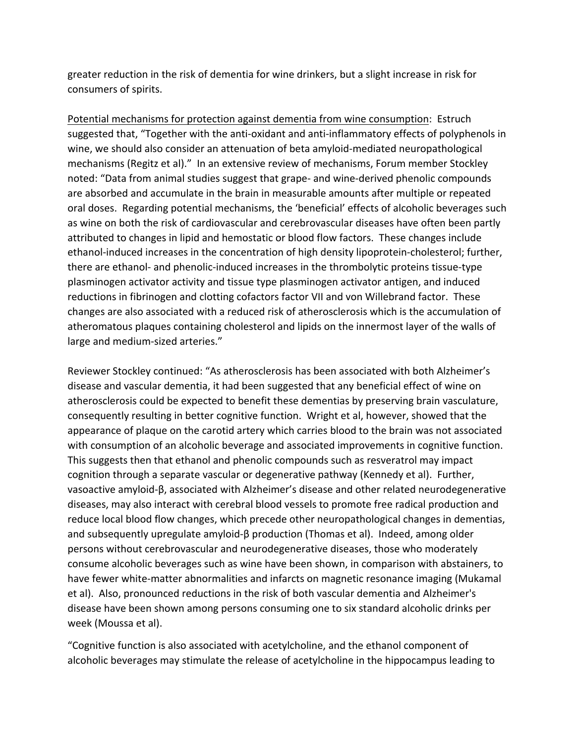greater reduction in the risk of dementia for wine drinkers, but a slight increase in risk for consumers of spirits.

Potential mechanisms for protection against dementia from wine consumption: Estruch suggested that, "Together with the anti-oxidant and anti-inflammatory effects of polyphenols in wine, we should also consider an attenuation of beta amyloid-mediated neuropathological mechanisms (Regitz et al)." In an extensive review of mechanisms, Forum member Stockley noted: "Data from animal studies suggest that grape- and wine-derived phenolic compounds are absorbed and accumulate in the brain in measurable amounts after multiple or repeated oral doses. Regarding potential mechanisms, the 'beneficial' effects of alcoholic beverages such as wine on both the risk of cardiovascular and cerebrovascular diseases have often been partly attributed to changes in lipid and hemostatic or blood flow factors. These changes include ethanol-induced increases in the concentration of high density lipoprotein-cholesterol; further, there are ethanol- and phenolic-induced increases in the thrombolytic proteins tissue-type plasminogen activator activity and tissue type plasminogen activator antigen, and induced reductions in fibrinogen and clotting cofactors factor VII and von Willebrand factor. These changes are also associated with a reduced risk of atherosclerosis which is the accumulation of atheromatous plaques containing cholesterol and lipids on the innermost layer of the walls of large and medium-sized arteries."

Reviewer Stockley continued: "As atherosclerosis has been associated with both Alzheimer's disease and vascular dementia, it had been suggested that any beneficial effect of wine on atherosclerosis could be expected to benefit these dementias by preserving brain vasculature, consequently resulting in better cognitive function. Wright et al, however, showed that the appearance of plaque on the carotid artery which carries blood to the brain was not associated with consumption of an alcoholic beverage and associated improvements in cognitive function. This suggests then that ethanol and phenolic compounds such as resveratrol may impact cognition through a separate vascular or degenerative pathway (Kennedy et al). Further, vasoactive amyloid-β, associated with Alzheimer's disease and other related neurodegenerative diseases, may also interact with cerebral blood vessels to promote free radical production and reduce local blood flow changes, which precede other neuropathological changes in dementias, and subsequently upregulate amyloid- $\beta$  production (Thomas et al). Indeed, among older persons without cerebrovascular and neurodegenerative diseases, those who moderately consume alcoholic beverages such as wine have been shown, in comparison with abstainers, to have fewer white-matter abnormalities and infarcts on magnetic resonance imaging (Mukamal et al). Also, pronounced reductions in the risk of both vascular dementia and Alzheimer's disease have been shown among persons consuming one to six standard alcoholic drinks per week (Moussa et al).

"Cognitive function is also associated with acetylcholine, and the ethanol component of alcoholic beverages may stimulate the release of acetylcholine in the hippocampus leading to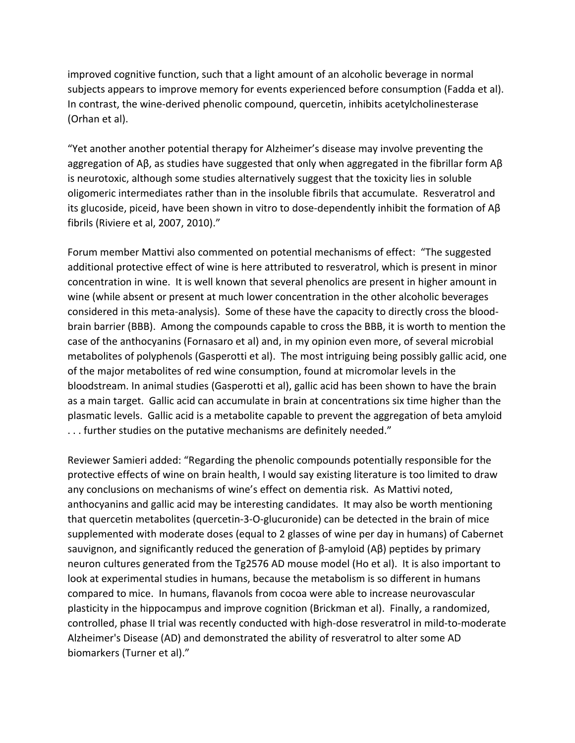improved cognitive function, such that a light amount of an alcoholic beverage in normal subjects appears to improve memory for events experienced before consumption (Fadda et al). In contrast, the wine-derived phenolic compound, quercetin, inhibits acetylcholinesterase (Orhan et al).

"Yet another another potential therapy for Alzheimer's disease may involve preventing the aggregation of A $\beta$ , as studies have suggested that only when aggregated in the fibrillar form A $\beta$ is neurotoxic, although some studies alternatively suggest that the toxicity lies in soluble oligomeric intermediates rather than in the insoluble fibrils that accumulate. Resveratrol and its glucoside, piceid, have been shown in vitro to dose-dependently inhibit the formation of  $AP$ fibrils (Riviere et al, 2007, 2010)."

Forum member Mattivi also commented on potential mechanisms of effect: "The suggested additional protective effect of wine is here attributed to resveratrol, which is present in minor concentration in wine. It is well known that several phenolics are present in higher amount in wine (while absent or present at much lower concentration in the other alcoholic beverages considered in this meta-analysis). Some of these have the capacity to directly cross the bloodbrain barrier (BBB). Among the compounds capable to cross the BBB, it is worth to mention the case of the anthocyanins (Fornasaro et al) and, in my opinion even more, of several microbial metabolites of polyphenols (Gasperotti et al). The most intriguing being possibly gallic acid, one of the major metabolites of red wine consumption, found at micromolar levels in the bloodstream. In animal studies (Gasperotti et al), gallic acid has been shown to have the brain as a main target. Gallic acid can accumulate in brain at concentrations six time higher than the plasmatic levels. Gallic acid is a metabolite capable to prevent the aggregation of beta amyloid ... further studies on the putative mechanisms are definitely needed."

Reviewer Samieri added: "Regarding the phenolic compounds potentially responsible for the protective effects of wine on brain health, I would say existing literature is too limited to draw any conclusions on mechanisms of wine's effect on dementia risk. As Mattivi noted, anthocyanins and gallic acid may be interesting candidates. It may also be worth mentioning that quercetin metabolites (quercetin-3-O-glucuronide) can be detected in the brain of mice supplemented with moderate doses (equal to 2 glasses of wine per day in humans) of Cabernet sauvignon, and significantly reduced the generation of  $\beta$ -amyloid  $(AB)$  peptides by primary neuron cultures generated from the Tg2576 AD mouse model (Ho et al). It is also important to look at experimental studies in humans, because the metabolism is so different in humans compared to mice. In humans, flavanols from cocoa were able to increase neurovascular plasticity in the hippocampus and improve cognition (Brickman et al). Finally, a randomized, controlled, phase II trial was recently conducted with high-dose resveratrol in mild-to-moderate Alzheimer's Disease (AD) and demonstrated the ability of resveratrol to alter some AD biomarkers (Turner et al)."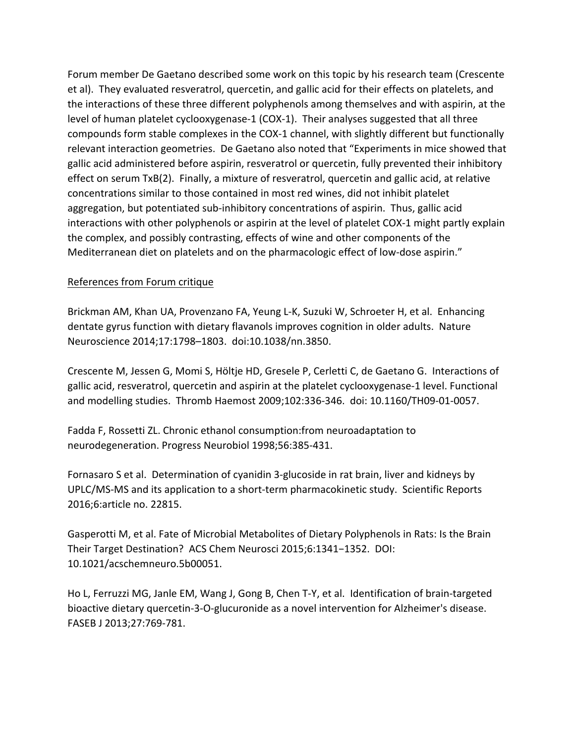Forum member De Gaetano described some work on this topic by his research team (Crescente et al). They evaluated resveratrol, quercetin, and gallic acid for their effects on platelets, and the interactions of these three different polyphenols among themselves and with aspirin, at the level of human platelet cyclooxygenase-1 (COX-1). Their analyses suggested that all three compounds form stable complexes in the COX-1 channel, with slightly different but functionally relevant interaction geometries. De Gaetano also noted that "Experiments in mice showed that gallic acid administered before aspirin, resveratrol or quercetin, fully prevented their inhibitory effect on serum TxB(2). Finally, a mixture of resveratrol, quercetin and gallic acid, at relative concentrations similar to those contained in most red wines, did not inhibit platelet aggregation, but potentiated sub-inhibitory concentrations of aspirin. Thus, gallic acid interactions with other polyphenols or aspirin at the level of platelet COX-1 might partly explain the complex, and possibly contrasting, effects of wine and other components of the Mediterranean diet on platelets and on the pharmacologic effect of low-dose aspirin."

## References from Forum critique

Brickman AM, Khan UA, Provenzano FA, Yeung L-K, Suzuki W, Schroeter H, et al. Enhancing dentate gyrus function with dietary flavanols improves cognition in older adults. Nature Neuroscience 2014;17:1798–1803. doi:10.1038/nn.3850.

Crescente M, Jessen G, Momi S, Höltje HD, Gresele P, Cerletti C, de Gaetano G. Interactions of gallic acid, resveratrol, quercetin and aspirin at the platelet cyclooxygenase-1 level. Functional and modelling studies. Thromb Haemost 2009;102:336-346. doi: 10.1160/TH09-01-0057.

Fadda F, Rossetti ZL. Chronic ethanol consumption: from neuroadaptation to neurodegeneration. Progress Neurobiol 1998;56:385-431.

Fornasaro S et al. Determination of cyanidin 3-glucoside in rat brain, liver and kidneys by UPLC/MS-MS and its application to a short-term pharmacokinetic study. Scientific Reports 2016;6:article no. 22815.

Gasperotti M, et al. Fate of Microbial Metabolites of Dietary Polyphenols in Rats: Is the Brain Their Target Destination? ACS Chem Neurosci 2015;6:1341-1352. DOI: 10.1021/acschemneuro.5b00051.

Ho L, Ferruzzi MG, Janle EM, Wang J, Gong B, Chen T-Y, et al. Identification of brain-targeted bioactive dietary quercetin-3-O-glucuronide as a novel intervention for Alzheimer's disease. FASEB J 2013;27:769-781.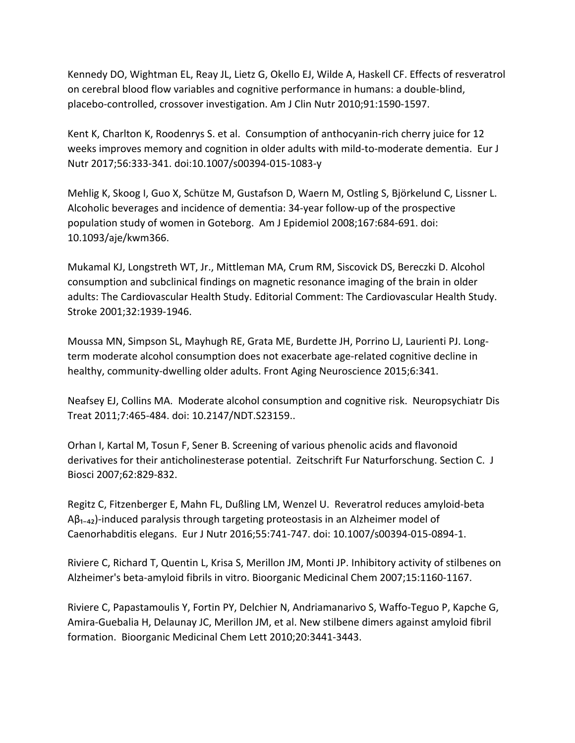Kennedy DO, Wightman EL, Reay JL, Lietz G, Okello EJ, Wilde A, Haskell CF. Effects of resveratrol on cerebral blood flow variables and cognitive performance in humans: a double-blind, placebo-controlled, crossover investigation. Am J Clin Nutr 2010;91:1590-1597.

Kent K, Charlton K, Roodenrys S. et al. Consumption of anthocyanin-rich cherry juice for 12 weeks improves memory and cognition in older adults with mild-to-moderate dementia. Eur J Nutr 2017;56:333-341. doi:10.1007/s00394-015-1083-y

Mehlig K, Skoog I, Guo X, Schütze M, Gustafson D, Waern M, Ostling S, Björkelund C, Lissner L. Alcoholic beverages and incidence of dementia: 34-year follow-up of the prospective population study of women in Goteborg. Am J Epidemiol 2008;167:684-691. doi: 10.1093/aje/kwm366. 

Mukamal KJ, Longstreth WT, Jr., Mittleman MA, Crum RM, Siscovick DS, Bereczki D. Alcohol consumption and subclinical findings on magnetic resonance imaging of the brain in older adults: The Cardiovascular Health Study. Editorial Comment: The Cardiovascular Health Study. Stroke 2001;32:1939-1946.

Moussa MN, Simpson SL, Mayhugh RE, Grata ME, Burdette JH, Porrino LJ, Laurienti PJ. Longterm moderate alcohol consumption does not exacerbate age-related cognitive decline in healthy, community-dwelling older adults. Front Aging Neuroscience 2015;6:341.

Neafsey EJ, Collins MA. Moderate alcohol consumption and cognitive risk. Neuropsychiatr Dis Treat 2011;7:465-484. doi: 10.2147/NDT.S23159..

Orhan I, Kartal M, Tosun F, Sener B. Screening of various phenolic acids and flavonoid derivatives for their anticholinesterase potential. Zeitschrift Fur Naturforschung. Section C. J Biosci 2007;62:829-832.

Regitz C, Fitzenberger E, Mahn FL, Dußling LM, Wenzel U. Reveratrol reduces amyloid-beta  $AB_{1-42}$ )-induced paralysis through targeting proteostasis in an Alzheimer model of Caenorhabditis elegans. Eur J Nutr 2016;55:741-747. doi: 10.1007/s00394-015-0894-1.

Riviere C, Richard T, Quentin L, Krisa S, Merillon JM, Monti JP. Inhibitory activity of stilbenes on Alzheimer's beta-amyloid fibrils in vitro. Bioorganic Medicinal Chem 2007;15:1160-1167.

Riviere C, Papastamoulis Y, Fortin PY, Delchier N, Andriamanarivo S, Waffo-Teguo P, Kapche G, Amira-Guebalia H, Delaunay JC, Merillon JM, et al. New stilbene dimers against amyloid fibril formation. Bioorganic Medicinal Chem Lett 2010;20:3441-3443.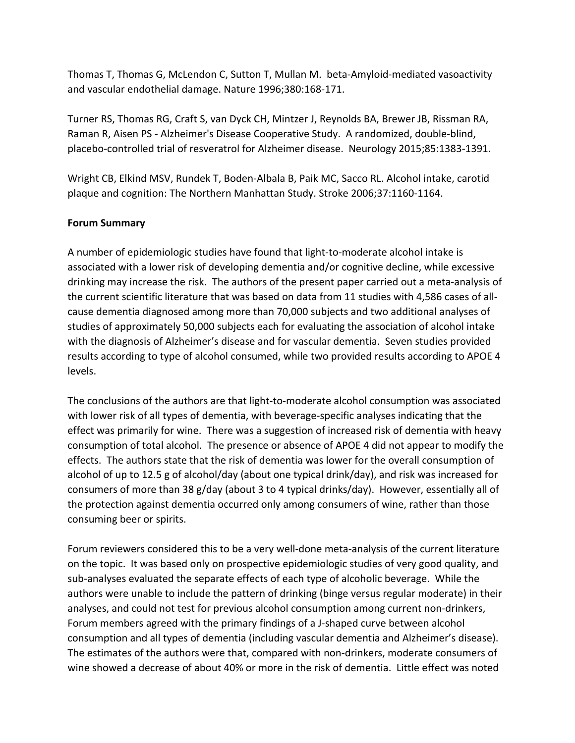Thomas T, Thomas G, McLendon C, Sutton T, Mullan M. beta-Amyloid-mediated vasoactivity and vascular endothelial damage. Nature 1996;380:168-171.

Turner RS, Thomas RG, Craft S, van Dyck CH, Mintzer J, Reynolds BA, Brewer JB, Rissman RA, Raman R, Aisen PS - Alzheimer's Disease Cooperative Study. A randomized, double-blind, placebo-controlled trial of resveratrol for Alzheimer disease. Neurology 2015;85:1383-1391.

Wright CB, Elkind MSV, Rundek T, Boden-Albala B, Paik MC, Sacco RL. Alcohol intake, carotid plaque and cognition: The Northern Manhattan Study. Stroke 2006;37:1160-1164.

#### **Forum Summary**

A number of epidemiologic studies have found that light-to-moderate alcohol intake is associated with a lower risk of developing dementia and/or cognitive decline, while excessive drinking may increase the risk. The authors of the present paper carried out a meta-analysis of the current scientific literature that was based on data from 11 studies with 4,586 cases of allcause dementia diagnosed among more than 70,000 subjects and two additional analyses of studies of approximately 50,000 subjects each for evaluating the association of alcohol intake with the diagnosis of Alzheimer's disease and for vascular dementia. Seven studies provided results according to type of alcohol consumed, while two provided results according to APOE 4 levels. 

The conclusions of the authors are that light-to-moderate alcohol consumption was associated with lower risk of all types of dementia, with beverage-specific analyses indicating that the effect was primarily for wine. There was a suggestion of increased risk of dementia with heavy consumption of total alcohol. The presence or absence of APOE 4 did not appear to modify the effects. The authors state that the risk of dementia was lower for the overall consumption of alcohol of up to 12.5 g of alcohol/day (about one typical drink/day), and risk was increased for consumers of more than 38 g/day (about 3 to 4 typical drinks/day). However, essentially all of the protection against dementia occurred only among consumers of wine, rather than those consuming beer or spirits.

Forum reviewers considered this to be a very well-done meta-analysis of the current literature on the topic. It was based only on prospective epidemiologic studies of very good quality, and sub-analyses evaluated the separate effects of each type of alcoholic beverage. While the authors were unable to include the pattern of drinking (binge versus regular moderate) in their analyses, and could not test for previous alcohol consumption among current non-drinkers, Forum members agreed with the primary findings of a J-shaped curve between alcohol consumption and all types of dementia (including vascular dementia and Alzheimer's disease). The estimates of the authors were that, compared with non-drinkers, moderate consumers of wine showed a decrease of about 40% or more in the risk of dementia. Little effect was noted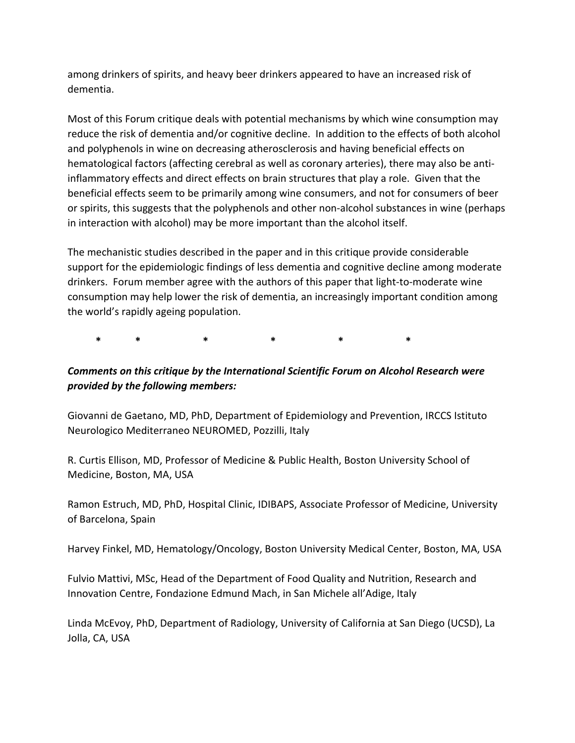among drinkers of spirits, and heavy beer drinkers appeared to have an increased risk of dementia.

Most of this Forum critique deals with potential mechanisms by which wine consumption may reduce the risk of dementia and/or cognitive decline. In addition to the effects of both alcohol and polyphenols in wine on decreasing atherosclerosis and having beneficial effects on hematological factors (affecting cerebral as well as coronary arteries), there may also be antiinflammatory effects and direct effects on brain structures that play a role. Given that the beneficial effects seem to be primarily among wine consumers, and not for consumers of beer or spirits, this suggests that the polyphenols and other non-alcohol substances in wine (perhaps in interaction with alcohol) may be more important than the alcohol itself.

The mechanistic studies described in the paper and in this critique provide considerable support for the epidemiologic findings of less dementia and cognitive decline among moderate drinkers. Forum member agree with the authors of this paper that light-to-moderate wine consumption may help lower the risk of dementia, an increasingly important condition among the world's rapidly ageing population.

 **\* \* \* \* \* \***

# Comments on this critique by the International Scientific Forum on Alcohol Research were *provided by the following members:*

Giovanni de Gaetano, MD, PhD, Department of Epidemiology and Prevention, IRCCS Istituto Neurologico Mediterraneo NEUROMED, Pozzilli, Italy

R. Curtis Ellison, MD, Professor of Medicine & Public Health, Boston University School of Medicine, Boston, MA, USA

Ramon Estruch, MD, PhD, Hospital Clinic, IDIBAPS, Associate Professor of Medicine, University of Barcelona, Spain

Harvey Finkel, MD, Hematology/Oncology, Boston University Medical Center, Boston, MA, USA

Fulvio Mattivi, MSc, Head of the Department of Food Quality and Nutrition, Research and Innovation Centre, Fondazione Edmund Mach, in San Michele all'Adige, Italy

Linda McEvoy, PhD, Department of Radiology, University of California at San Diego (UCSD), La Jolla, CA, USA